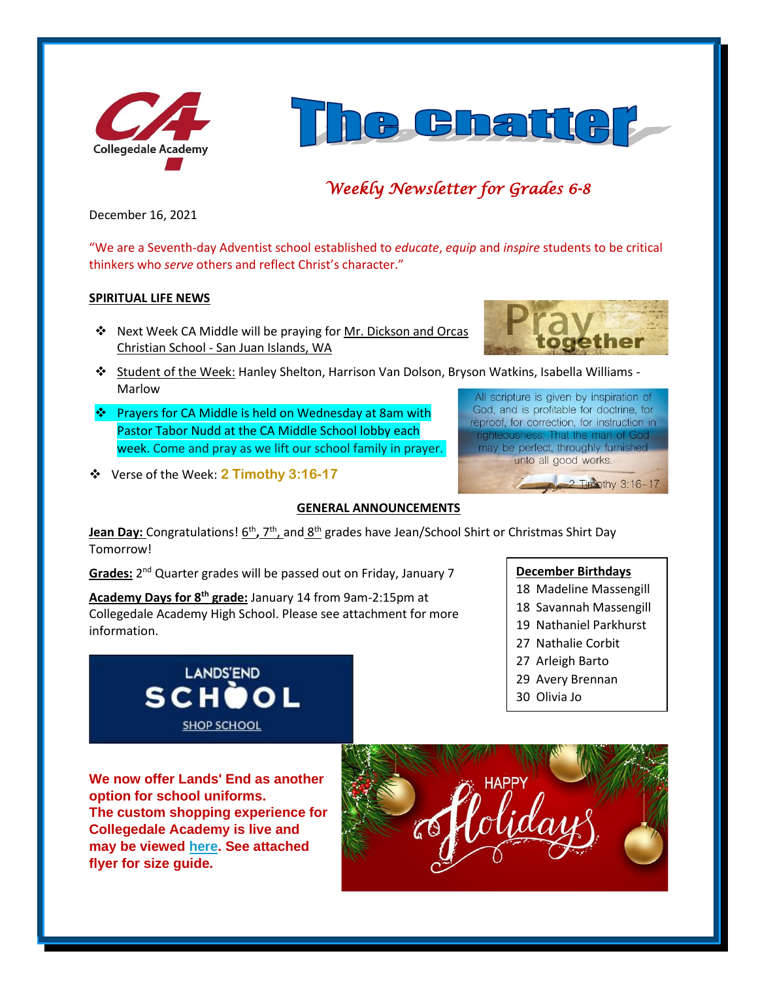



# *Weekly Newsletter for Grades 6-8*

December 16, 2021

"We are a Seventh-day Adventist school established to *educate*, *equip* and *inspire* students to be critical thinkers who *serve* others and reflect Christ's character."

#### **SPIRITUAL LIFE NEWS**

- ❖ Next Week CA Middle will be praying for Mr. Dickson and Orcas Christian School - San Juan Islands, WA
- ❖ Student of the Week: Hanley Shelton, Harrison Van Dolson, Bryson Watkins, Isabella Williams Marlow
- ❖ Prayers for CA Middle is held on Wednesday at 8am with Pastor Tabor Nudd at the CA Middle School lobby each week. Come and pray as we lift our school family in prayer.
- ❖ Verse of the Week: **2 Timothy 3:16-17**

# **GENERAL ANNOUNCEMENTS**

Jean Day: Congratulations! 6<sup>th</sup>, 7<sup>th</sup>, and 8<sup>th</sup> grades have Jean/School Shirt or Christmas Shirt Day Tomorrow!

Grades: 2<sup>nd</sup> Quarter grades will be passed out on Friday, January 7

**Academy Days for 8th grade:** January 14 from 9am-2:15pm at Collegedale Academy High School. Please see attachment for more information.



**We now offer Lands' End as another option for school uniforms. The custom shopping experience for Collegedale Academy is live and may be viewed [here.](http://www.landsend.com/pp/SchoolSearch.html?action=landing&selectedSchoolNum=900196254) See attached flyer for size guide.**





All scripture is given by inspiration of God, and is profitable for doctrine, for reproof, for correction, for instruction in righteousness: That the man of God may be perfect, throughly furnished unto all good works.

**December Birthdays**

18 Madeline Massengill

2 Timothy 3:16-17

- 18 Savannah Massengill
- 19 Nathaniel Parkhurst
- 27 Nathalie Corbit
- 27 Arleigh Barto
- 29 Avery Brennan
- 30 Olivia Jo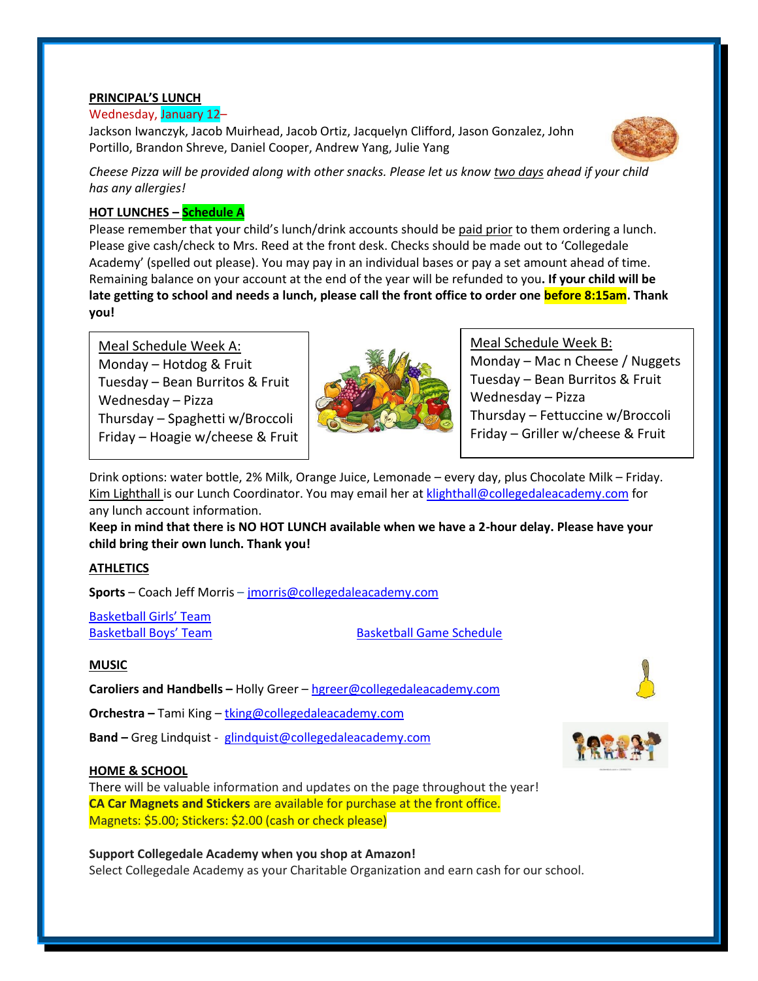#### **PRINCIPAL'S LUNCH**

#### Wednesday, January 12–

Jackson Iwanczyk, Jacob Muirhead, Jacob Ortiz, Jacquelyn Clifford, Jason Gonzalez, John Portillo, Brandon Shreve, Daniel Cooper, Andrew Yang, Julie Yang



*Cheese Pizza will be provided along with other snacks. Please let us know two days ahead if your child has any allergies!*

# **HOT LUNCHES – Schedule A**

Please remember that your child's lunch/drink accounts should be paid prior to them ordering a lunch. Please give cash/check to Mrs. Reed at the front desk. Checks should be made out to 'Collegedale Academy' (spelled out please). You may pay in an individual bases or pay a set amount ahead of time. Remaining balance on your account at the end of the year will be refunded to you**. If your child will be late getting to school and needs a lunch, please call the front office to order one before 8:15am. Thank you!** 

Meal Schedule Week A: Monday – Hotdog & Fruit Tuesday – Bean Burritos  $&$  Fruit Wednesday – Pizza ▪ Thursday – Spaghetti w/Broccoli Friday – Hoagie w/cheese & Fruit



Meal Schedule Week B: Monday – Mac n Cheese / Nuggets Tuesday – Bean Burritos & Fruit Wednesday – Pizza Thursday – Fettuccine w/Broccoli Friday – Griller w/cheese & Fruit

Drink options: water bottle, 2% Milk, Orange Juice, Lemonade – every day, plus Chocolate Milk – Friday. Kim Lighthall is our Lunch Coordinator. You may email her at [klighthall@collegedaleacademy.com](mailto:klighthall@collegedaleacademy.com) for any lunch account information.

**Keep in mind that there is NO HOT LUNCH available when we have a 2-hour delay. Please have your child bring their own lunch. Thank you!**

# **ATHLETICS**

**Sports** – Coach Jeff Morris – [jmorris@collegedaleacademy.com](mailto:jmorris@collegedaleacademy.com)

[Basketball Girls' Team](https://www.collegedaleacademy.com/wp-content/uploads/2021/11/Basketball-Teams-Girls-1.pdf)

[Basketball Boys' Team](https://www.collegedaleacademy.com/wp-content/uploads/2021/11/Basketball-Teams-Boys.pdf) [Basketball Game Schedule](https://www.collegedaleacademy.com/wp-content/uploads/2021/11/2021-2022-Boys-and-Girls-Basketball-Schedule.pdf)

# **MUSIC**

**Caroliers and Handbells –** Holly Greer – [hgreer@collegedaleacademy.com](mailto:hgreer@collegedaleacademy.com) **Orchestra –** Tami King – [tking@collegedaleacademy.com](mailto:tking@collegedaleacademy.com)

**Band –** Greg Lindquist - [glindquist@collegedaleacademy.com](mailto:glindquist@collegedaleacademy.com)

# **HOME & SCHOOL**

There will be valuable information and updates on the page throughout the year! **CA Car Magnets and Stickers** are available for purchase at the front office. Magnets: \$5.00; Stickers: \$2.00 (cash or check please)

**Support Collegedale Academy when you shop at Amazon!** Select Collegedale Academy as your Charitable Organization and earn cash for our school.